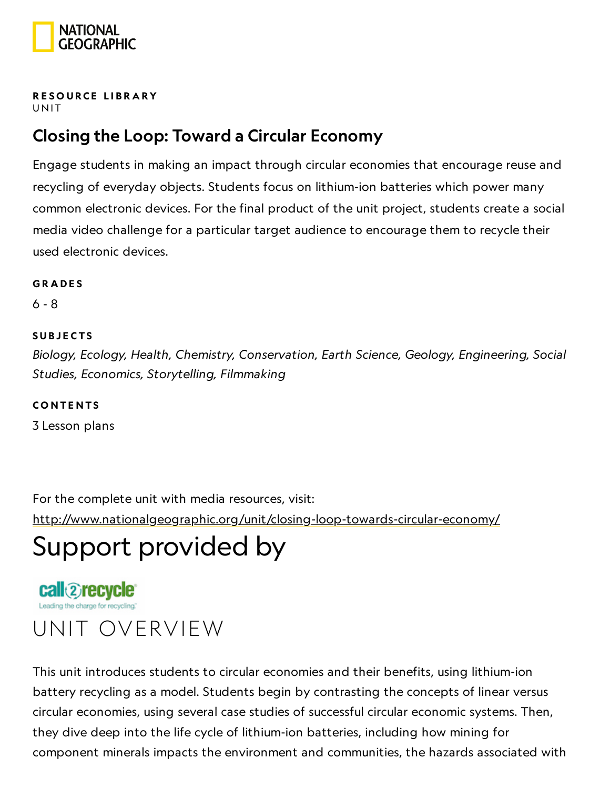

#### RESOURCE LIBRA[RY](https://www.nationalgeographic.org/education/resource-library/) **UNIT**

### Closing the Loop: Toward a Circular Economy

Engage students in making an impact through circular economies that encourage reuse and recycling of everyday objects. Students focus on lithium-ion batteries which power many common electronic devices. For the final product of the unit project, students create a social media video challenge for a particular target audience to encourage them to recycle their used electronic devices.

#### **GRADES**

6 - 8

#### **SUBJECTS**

Biology, Ecology, Health, Chemistry, Conservation, Earth Science, Geology, Engineering, Social Studies, Economics, Storytelling, Filmmaking

**CONTENTS** 

3 Lesson plans

For the complete unit with media resources, visit: <http://www.nationalgeographic.org/unit/closing-loop-towards-circular-economy/>

# Support provided by

call 2recycle

## UNIT OVERVIEW

This unit introduces students to circular economies and their benefits, using lithium-ion battery recycling as a model. Students begin by contrasting the concepts of linear versus circular economies, using several case studies of successful circular economic systems. Then, they dive deep into the life cycle of lithium-ion batteries, including how mining for component minerals impacts the environment and communities, the hazards associated with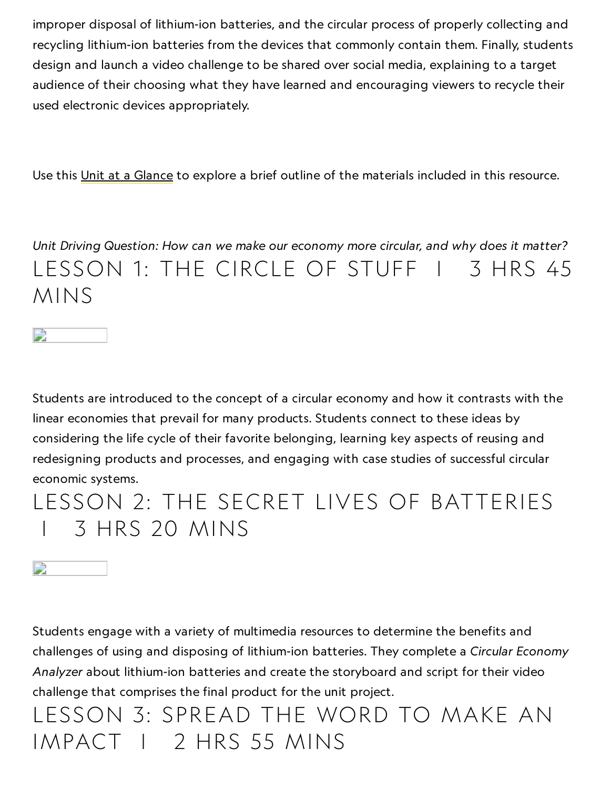improper disposal of lithium-ion batteries, and the circular process of properly collecting and recycling lithium-ion batteries from the devices that commonly contain them. Finally, students design and launch a video challenge to be shared over social media, explaining to a target audience of their choosing what they have learned and encouraging viewers to recycle their used electronic devices appropriately.

Use this Unit at a [Glance](https://media.nationalgeographic.org/assets/file/UnitAtAGlance_CircularEconomy.pdf) to explore a brief outline of the materials included in this resource.

Unit Driving Question: How can we make our economy more circular, and why does it matter? LESSON 1: THE CIRCLE OF STUFF | 3 HRS 45 MINS



Students are introduced to the concept of a circular economy and how it contrasts with the linear economies that prevail for many products. Students connect to these ideas by considering the life cycle of their favorite belonging, learning key aspects of reusing and redesigning products and processes, and engaging with case studies of successful circular economic systems.

### LESSON 2: THE SECRET LIVES OF BATTERIES | 3 HRS 20 MINS

D

Students engage with a variety of multimedia resources to determine the benefits and challenges of using and disposing of lithium-ion batteries. They complete a Circular Economy Analyzer about lithium-ion batteries and create the storyboard and script for their video challenge that comprises the final product for the unit project.

LESSON 3: SPREAD THE WORD TO MAKE AN IMPACT | 2 HRS 55 MINS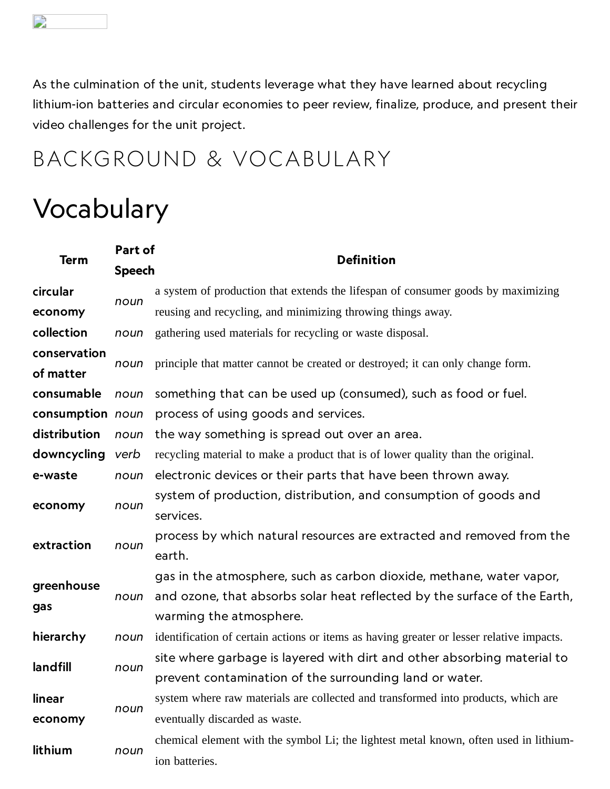$\Box$ 

As the culmination of the unit, students leverage what they have learned about recycling lithium-ion batteries and circular economies to peer review, finalize, produce, and present their video challenges for the unit project.

### BACKGROUND & VOCABULARY

## Vocabulary

| Term              | Part of       | <b>Definition</b>                                                                        |
|-------------------|---------------|------------------------------------------------------------------------------------------|
|                   | <b>Speech</b> |                                                                                          |
| circular          | noun          | a system of production that extends the lifespan of consumer goods by maximizing         |
| economy           |               | reusing and recycling, and minimizing throwing things away.                              |
| collection        | noun          | gathering used materials for recycling or waste disposal.                                |
| conservation      | noun          | principle that matter cannot be created or destroyed; it can only change form.           |
| of matter         |               |                                                                                          |
| consumable        | noun          | something that can be used up (consumed), such as food or fuel.                          |
| consumption noun  |               | process of using goods and services.                                                     |
| distribution      | noun          | the way something is spread out over an area.                                            |
| downcycling       | verb          | recycling material to make a product that is of lower quality than the original.         |
| e-waste           | noun          | electronic devices or their parts that have been thrown away.                            |
| economy           | noun          | system of production, distribution, and consumption of goods and                         |
|                   |               | services.                                                                                |
| extraction        | noun          | process by which natural resources are extracted and removed from the                    |
|                   |               | earth.                                                                                   |
| greenhouse<br>gas | noun          | gas in the atmosphere, such as carbon dioxide, methane, water vapor,                     |
|                   |               | and ozone, that absorbs solar heat reflected by the surface of the Earth,                |
|                   |               | warming the atmosphere.                                                                  |
| hierarchy         | noun          | identification of certain actions or items as having greater or lesser relative impacts. |
| landfill          | noun          | site where garbage is layered with dirt and other absorbing material to                  |
|                   |               | prevent contamination of the surrounding land or water.                                  |
| linear            | noun          | system where raw materials are collected and transformed into products, which are        |
| economy           |               | eventually discarded as waste.                                                           |
| lithium           | noun          | chemical element with the symbol Li; the lightest metal known, often used in lithium-    |
|                   |               | ion batteries.                                                                           |